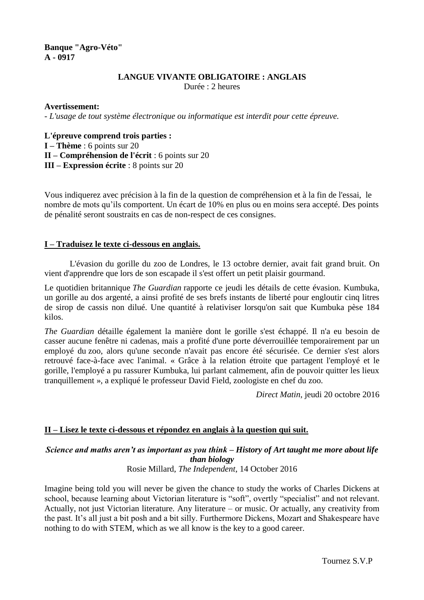# **Banque "Agro-Véto" A - 0917**

## **LANGUE VIVANTE OBLIGATOIRE : ANGLAIS**

Durée : 2 heures

### **Avertissement:**

- *L'usage de tout système électronique ou informatique est interdit pour cette épreuve.*

#### **L'épreuve comprend trois parties :**

**I – Thème** : 6 points sur 20

**II – Compréhension de l'écrit** : 6 points sur 20

**III – Expression écrite** : 8 points sur 20

Vous indiquerez avec précision à la fin de la question de compréhension et à la fin de l'essai, le nombre de mots qu'ils comportent. Un écart de 10% en plus ou en moins sera accepté. Des points de pénalité seront soustraits en cas de non-respect de ces consignes.

### **I – Traduisez le texte ci-dessous en anglais.**

L'évasion du gorille du zoo de Londres, le 13 octobre dernier, avait fait grand bruit. On vient d'apprendre que lors de son escapade il s'est offert un petit plaisir gourmand.

Le quotidien britannique *[The Guardian](https://www.theguardian.com/world/2016/oct/20/gorilla-drank-litres-blackcurrant-juice-escaping-london-zoo-enclosure?CMP=fb_gu)* rapporte ce jeudi les détails de cette évasion. Kumbuka, un gorille au dos argenté, a ainsi profité de ses brefs instants de liberté pour engloutir cinq litres de sirop de cassis non dilué. Une quantité à relativiser lorsqu'on sait que Kumbuka pèse 184 kilos.

*The Guardian* détaille également la manière dont le gorille s'est échappé. Il n'a eu besoin de casser aucune fenêtre ni cadenas, mais a profité d'une porte déverrouillée temporairement par un employé du zoo, alors qu'une seconde n'avait pas encore été sécurisée. Ce dernier s'est alors retrouvé face-à-face avec l'animal. « Grâce à la relation étroite que partagent l'employé et le gorille, l'employé a pu rassurer Kumbuka, lui parlant calmement, afin de pouvoir quitter les lieux tranquillement », a expliqué le professeur David Field, zoologiste en chef du zoo.

*Direct Matin*, jeudi 20 octobre 2016

### **II – Lisez le texte ci-dessous et répondez en anglais à la question qui suit.**

# *Science and maths aren't as important as you think – History of Art taught me more about life than biology*

### Rosie Millard, *The Independent*, 14 October 2016

Imagine being told you will never be given the chance to study the works of Charles Dickens at school, because learning about Victorian literature is "soft", overtly "specialist" and not relevant. Actually, not just Victorian literature. Any literature – or music. Or actually, any creativity from the past. It's all just a bit posh and a bit silly. Furthermore Dickens, Mozart and Shakespeare have nothing to do with STEM, which as we all know is the key to a good career.